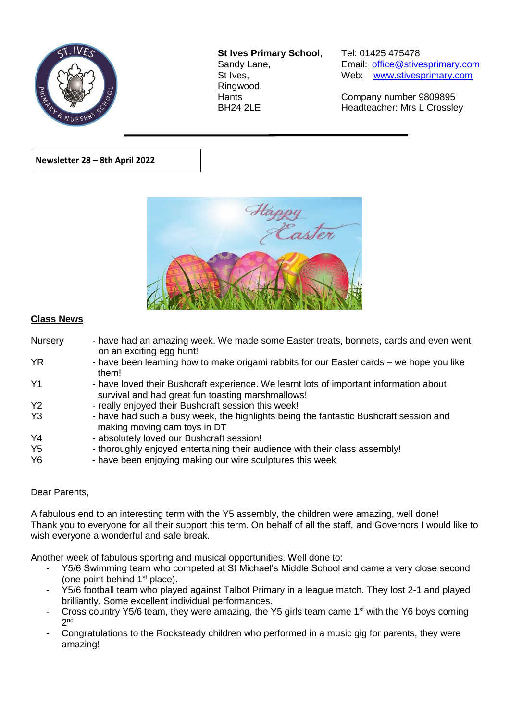

**St Ives Primary School**, Tel: 01425 475478 Ringwood,

Sandy Lane, Email: office@stivesprimary.com St Ives, [www.stivesprimary.com](http://www.stives.dorset.sch.uk/)

Hants Company number 9809895 BH24 2LE Headteacher: Mrs L Crossley

**Newsletter 28 – 8th April 2022** 



 $\overline{a}$ 

## **Class News**

| Nursery        | - have had an amazing week. We made some Easter treats, bonnets, cards and even went<br>on an exciting egg hunt!                            |
|----------------|---------------------------------------------------------------------------------------------------------------------------------------------|
| <b>YR</b>      | - have been learning how to make origami rabbits for our Easter cards – we hope you like<br>them!                                           |
| Y <sub>1</sub> | - have loved their Bushcraft experience. We learnt lots of important information about<br>survival and had great fun toasting marshmallows! |
| Y <sub>2</sub> | - really enjoyed their Bushcraft session this week!                                                                                         |
| Y <sub>3</sub> | - have had such a busy week, the highlights being the fantastic Bushcraft session and<br>making moving cam toys in DT                       |
| Y <sub>4</sub> | - absolutely loved our Bushcraft session!                                                                                                   |
| Y <sub>5</sub> | - thoroughly enjoyed entertaining their audience with their class assembly!                                                                 |
| Y <sub>6</sub> | - have been enjoying making our wire sculptures this week                                                                                   |

Dear Parents,

A fabulous end to an interesting term with the Y5 assembly, the children were amazing, well done! Thank you to everyone for all their support this term. On behalf of all the staff, and Governors I would like to wish everyone a wonderful and safe break.

Another week of fabulous sporting and musical opportunities. Well done to:

- Y5/6 Swimming team who competed at St Michael's Middle School and came a very close second (one point behind  $1<sup>st</sup>$  place).
- Y5/6 football team who played against Talbot Primary in a league match. They lost 2-1 and played brilliantly. Some excellent individual performances.
- Cross country Y5/6 team, they were amazing, the Y5 girls team came 1<sup>st</sup> with the Y6 boys coming 2 nd
- Congratulations to the Rocksteady children who performed in a music gig for parents, they were amazing!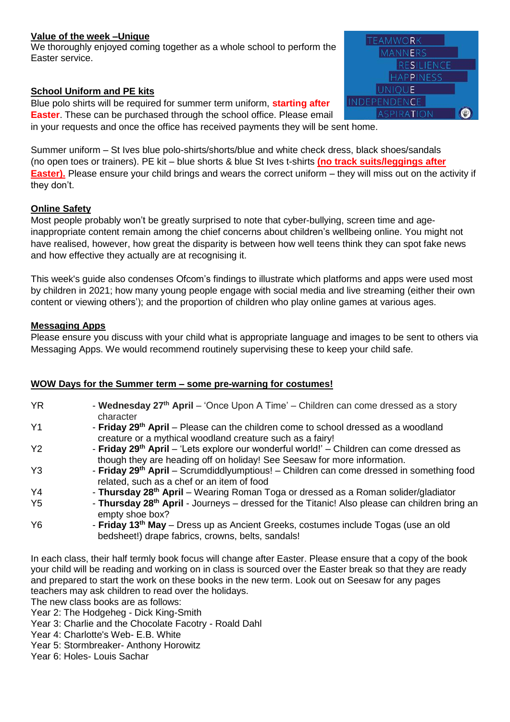### **Value of the week –Unique**

We thoroughly enjoyed coming together as a whole school to perform the Easter service.

## **School Uniform and PE kits**

Blue polo shirts will be required for summer term uniform, **starting after Easter**. These can be purchased through the school office. Please email



in your requests and once the office has received payments they will be sent home.

Summer uniform – St Ives blue polo-shirts/shorts/blue and white check dress, black shoes/sandals (no open toes or trainers). PE kit – blue shorts & blue St Ives t-shirts **(no track suits/leggings after Easter).** Please ensure your child brings and wears the correct uniform – they will miss out on the activity if they don't.

### **Online Safety**

Most people probably won't be greatly surprised to note that cyber-bullying, screen time and ageinappropriate content remain among the chief concerns about children's wellbeing online. You might not have realised, however, how great the disparity is between how well teens think they can spot fake news and how effective they actually are at recognising it.

This week's guide also condenses Ofcom's findings to illustrate which platforms and apps were used most by children in 2021; how many young people engage with social media and live streaming (either their own content or viewing others'); and the proportion of children who play online games at various ages.

### **Messaging Apps**

Please ensure you discuss with your child what is appropriate language and images to be sent to others via Messaging Apps. We would recommend routinely supervising these to keep your child safe.

#### **WOW Days for the Summer term – some pre-warning for costumes!**

| <b>YR</b>      | - Wednesday 27 <sup>th</sup> April – 'Once Upon A Time' – Children can come dressed as a story<br>character                                                          |
|----------------|----------------------------------------------------------------------------------------------------------------------------------------------------------------------|
| Y <sub>1</sub> | - Friday 29th April – Please can the children come to school dressed as a woodland<br>creature or a mythical woodland creature such as a fairy!                      |
| <b>Y2</b>      | - Friday 29th April – 'Lets explore our wonderful world!' – Children can come dressed as<br>though they are heading off on holiday! See Seesaw for more information. |
| Y <sub>3</sub> | - Friday 29 <sup>th</sup> April - Scrumdiddlyumptious! - Children can come dressed in something food<br>related, such as a chef or an item of food                   |
| Y4             | - Thursday 28 <sup>th</sup> April – Wearing Roman Toga or dressed as a Roman solider/gladiator                                                                       |
| Y <sub>5</sub> | - Thursday 28 <sup>th</sup> April - Journeys – dressed for the Titanic! Also please can children bring an<br>empty shoe box?                                         |
| <b>Y6</b>      | - Friday 13 <sup>th</sup> May - Dress up as Ancient Greeks, costumes include Togas (use an old<br>bedsheet!) drape fabrics, crowns, belts, sandals!                  |

In each class, their half termly book focus will change after Easter. Please ensure that a copy of the book your child will be reading and working on in class is sourced over the Easter break so that they are ready and prepared to start the work on these books in the new term. Look out on Seesaw for any pages teachers may ask children to read over the holidays.

The new class books are as follows:

Year 2: The Hodgeheg - Dick King-Smith

- Year 3: Charlie and the Chocolate Facotry Roald Dahl
- Year 4: Charlotte's Web- E.B. White
- Year 5: Stormbreaker- Anthony Horowitz

Year 6: Holes- Louis Sachar